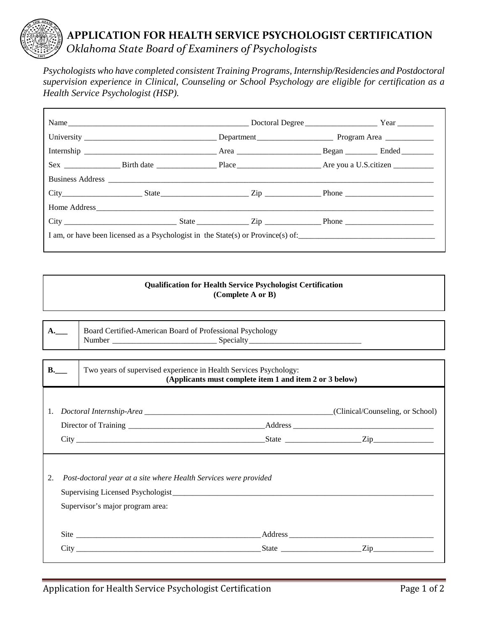## **APPLICATION FOR HEALTH SERVICE PSYCHOLOGIST CERTIFICATION**  *Oklahoma State Board of Examiners of Psychologists*

*Psychologists who have completed consistent Training Programs, Internship/Residencies and Postdoctoral supervision experience in Clinical, Counseling or School Psychology are eligible for certification as a Health Service Psychologist (HSP).* 

|  | City Reserves State State City Rip Richard Phone Phone |  |  |
|--|--------------------------------------------------------|--|--|

## **Qualification for Health Service Psychologist Certification (Complete A or B)**

| ——— | Board Certified-American Board of Professional Psychology |          |  |  |  |
|-----|-----------------------------------------------------------|----------|--|--|--|
|     | Number                                                    | Specialt |  |  |  |

| <b>B.</b> | Two years of supervised experience in Health Services Psychology:<br>(Applicants must complete item 1 and item 2 or 3 below) |                                                                                                      |  |                                  |
|-----------|------------------------------------------------------------------------------------------------------------------------------|------------------------------------------------------------------------------------------------------|--|----------------------------------|
|           |                                                                                                                              |                                                                                                      |  | (Clinical/Counseling, or School) |
|           |                                                                                                                              |                                                                                                      |  |                                  |
|           |                                                                                                                              |                                                                                                      |  |                                  |
| 2.        |                                                                                                                              | Post-doctoral year at a site where Health Services were provided<br>Supervisor's major program area: |  |                                  |
|           |                                                                                                                              |                                                                                                      |  |                                  |
|           |                                                                                                                              |                                                                                                      |  |                                  |